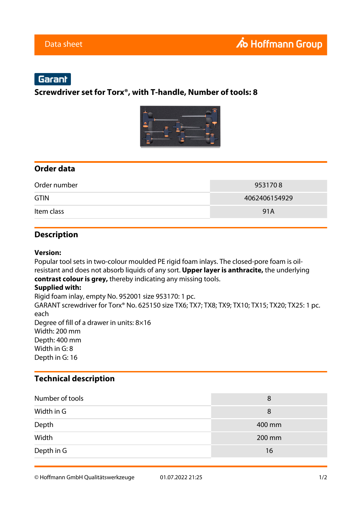# Garant

### **Screwdriver set for Torx®, with T-handle, Number of tools: 8**



### **Order data**

| Order number | 9531708       |
|--------------|---------------|
| <b>GTIN</b>  | 4062406154929 |
| Item class   | 91A           |

### **Description**

#### **Version:**

Popular tool sets in two-colour moulded PE rigid foam inlays. The closed-pore foam is oilresistant and does not absorb liquids of any sort. **Upper layer is anthracite,** the underlying **contrast colour is grey,** thereby indicating any missing tools.

#### **Supplied with:**

Rigid foam inlay, empty No. 952001 size 953170: 1 pc. GARANT screwdriver for Torx® No. 625150 size TX6; TX7; TX8; TX9; TX10; TX15; TX20; TX25: 1 pc. each Degree of fill of a drawer in units: 8×16 Width: 200 mm Depth: 400 mm Width in G: 8 Depth in G: 16

### **Technical description**

| Number of tools | 8      |
|-----------------|--------|
| Width in G      | 8      |
| Depth           | 400 mm |
| Width           | 200 mm |
| Depth in G      | 16     |

© Hoffmann GmbH Qualitätswerkzeuge 01.07.2022 21:25 1/2